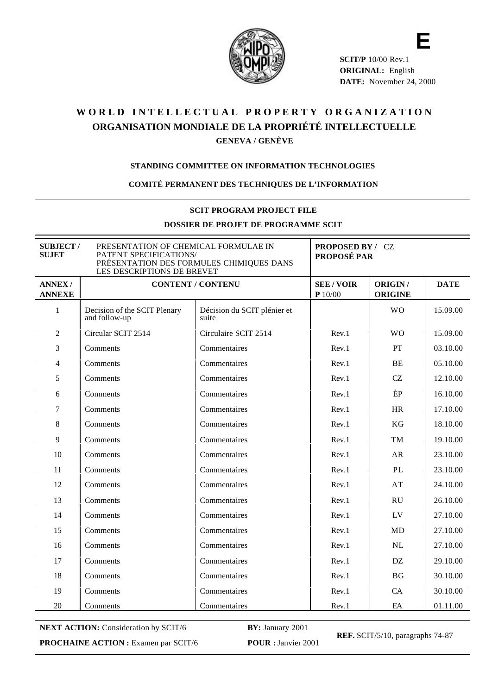

**SCIT/P** 10/00 Rev.1 **ORIGINAL:** English **DATE:** November 24, 2000

**E**

# WORLD INTELLECTUAL PROPERTY ORGANIZATION **ORGANISATION MONDIALE DE LA PROPRIÉTÉ INTELLECTUELLE GENEVA / GENÈVE**

#### **STANDING COMMITTEE ON INFORMATION TECHNOLOGIES**

#### **COMITÉ PERMANENT DES TECHNIQUES DE L'INFORMATION**

| <b>SCIT PROGRAM PROJECT FILE</b><br><b>DOSSIER DE PROJET DE PROGRAMME SCIT</b>                                                                                              |                                               |                                        |                                       |                           |             |
|-----------------------------------------------------------------------------------------------------------------------------------------------------------------------------|-----------------------------------------------|----------------------------------------|---------------------------------------|---------------------------|-------------|
| <b>SUBJECT/</b><br>PRESENTATION OF CHEMICAL FORMULAE IN<br><b>SUJET</b><br>PATENT SPECIFICATIONS/<br>PRÉSENTATION DES FORMULES CHIMIQUES DANS<br>LES DESCRIPTIONS DE BREVET |                                               | PROPOSED BY / CZ<br><b>PROPOSÉ PAR</b> |                                       |                           |             |
| <b>ANNEX/</b><br><b>ANNEXE</b>                                                                                                                                              | <b>CONTENT / CONTENU</b>                      |                                        | <b>SEE/VOIR</b><br>$\mathbf{P}$ 10/00 | ORIGIN/<br><b>ORIGINE</b> | <b>DATE</b> |
| $\mathbf{1}$                                                                                                                                                                | Decision of the SCIT Plenary<br>and follow-up | Décision du SCIT plénier et<br>suite   |                                       | W <sub>O</sub>            | 15.09.00    |
| $\overline{2}$                                                                                                                                                              | Circular SCIT 2514                            | Circulaire SCIT 2514                   | Rev.1                                 | <b>WO</b>                 | 15.09.00    |
| 3                                                                                                                                                                           | Comments                                      | Commentaires                           | Rev.1                                 | PT                        | 03.10.00    |
| 4                                                                                                                                                                           | Comments                                      | Commentaires                           | Rev.1                                 | <b>BE</b>                 | 05.10.00    |
| 5                                                                                                                                                                           | Comments                                      | Commentaires                           | Rev.1                                 | CZ.                       | 12.10.00    |
| 6                                                                                                                                                                           | Comments                                      | Commentaires                           | Rev.1                                 | ÈP                        | 16.10.00    |
| $\tau$                                                                                                                                                                      | Comments                                      | Commentaires                           | Rev.1                                 | <b>HR</b>                 | 17.10.00    |
| 8                                                                                                                                                                           | Comments                                      | Commentaires                           | Rev.1                                 | KG                        | 18.10.00    |
| 9                                                                                                                                                                           | Comments                                      | Commentaires                           | Rev.1                                 | TM                        | 19.10.00    |
| 10                                                                                                                                                                          | Comments                                      | Commentaires                           | Rev.1                                 | AR                        | 23.10.00    |
| 11                                                                                                                                                                          | Comments                                      | Commentaires                           | Rev.1                                 | PL                        | 23.10.00    |
| 12                                                                                                                                                                          | Comments                                      | Commentaires                           | Rev.1                                 | AT                        | 24.10.00    |
| 13                                                                                                                                                                          | Comments                                      | Commentaires                           | Rev.1                                 | <b>RU</b>                 | 26.10.00    |
| 14                                                                                                                                                                          | Comments                                      | Commentaires                           | Rev.1                                 | LV                        | 27.10.00    |
| 15                                                                                                                                                                          | Comments                                      | Commentaires                           | Rev.1                                 | <b>MD</b>                 | 27.10.00    |
| 16                                                                                                                                                                          | Comments                                      | Commentaires                           | Rev.1                                 | NL                        | 27.10.00    |
| 17                                                                                                                                                                          | Comments                                      | Commentaires                           | Rev.1                                 | DZ.                       | 29.10.00    |
| 18                                                                                                                                                                          | Comments                                      | Commentaires                           | Rev.1                                 | BG                        | 30.10.00    |
| 19                                                                                                                                                                          | Comments                                      | Commentaires                           | Rev.1                                 | <b>CA</b>                 | 30.10.00    |
| 20                                                                                                                                                                          | Comments                                      | Commentaires                           | Rev.1                                 | EA                        | 01.11.00    |

**NEXT ACTION:** Consideration by SCIT/6 **BY:** January 2001 **PROCHAINE ACTION :** Examen par SCIT/6 **POUR :** Janvier 2001

**REF.** SCIT/5/10, paragraphs 74-87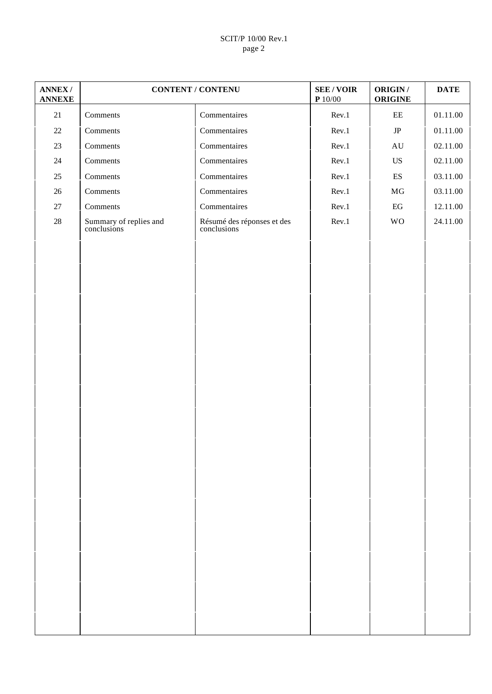## SCIT/P 10/00 Rev.1 page 2

| <b>ANNEX/</b><br><b>ANNEXE</b> |                                       | <b>CONTENT / CONTENU</b>                  | <b>SEE/VOIR</b><br>$\mathbf{P}$ 10/00 | <b>ORIGIN/</b><br><b>ORIGINE</b> | <b>DATE</b> |
|--------------------------------|---------------------------------------|-------------------------------------------|---------------------------------------|----------------------------------|-------------|
| 21                             | Comments                              | Commentaires                              | Rev.1                                 | $\rm{EE}$                        | 01.11.00    |
| $22\,$                         | Comments                              | Commentaires                              | Rev.1                                 | $\rm{JP}$                        | 01.11.00    |
| 23                             | Comments                              | Commentaires                              | Rev.1                                 | $\mathbf{A}\mathbf{U}$           | 02.11.00    |
| $24\,$                         | Comments                              | Commentaires                              | Rev.1                                 | US                               | 02.11.00    |
| 25                             | Comments                              | Commentaires                              | Rev.1                                 | $\mathop{\hbox{\rm ES}}$         | 03.11.00    |
| $26\,$                         | Comments                              | Commentaires                              | Rev.1                                 | $\rm MG$                         | 03.11.00    |
| $27\,$                         | Comments                              | Commentaires                              | Rev.1                                 | $\operatorname{EG}$              | 12.11.00    |
| $28\,$                         | Summary of replies and<br>conclusions | Résumé des réponses et des<br>conclusions | Rev.1                                 | <b>WO</b>                        | 24.11.00    |
|                                |                                       |                                           |                                       |                                  |             |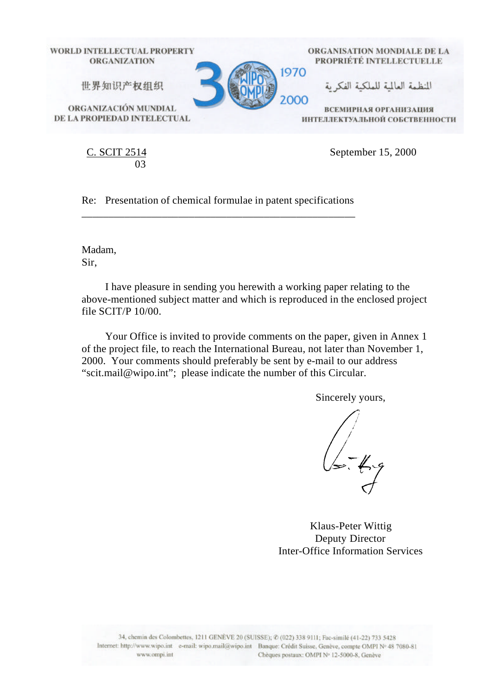

C. SCIT 2514 03

September 15, 2000

Re: Presentation of chemical formulae in patent specifications \_\_\_\_\_\_\_\_\_\_\_\_\_\_\_\_\_\_\_\_\_\_\_\_\_\_\_\_\_\_\_\_\_\_\_\_\_\_\_\_\_\_\_\_\_\_\_\_\_\_\_

Madam, Sir,

I have pleasure in sending you herewith a working paper relating to the above-mentioned subject matter and which is reproduced in the enclosed project file SCIT/P 10/00.

Your Office is invited to provide comments on the paper, given in Annex 1 of the project file, to reach the International Bureau, not later than November 1, 2000. Your comments should preferably be sent by e-mail to our address "scit.mail@wipo.int"; please indicate the number of this Circular.

Sincerely yours,

Klaus-Peter Wittig Deputy Director Inter-Office Information Services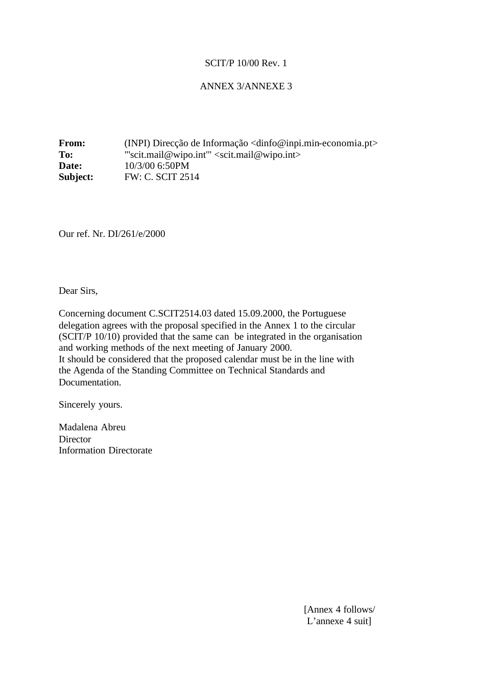## ANNEX 3/ANNEXE 3

**From:** (INPI) Direcção de Informação <dinfo@inpi.min-economia.pt> To: "scit.mail@wipo.int" <scit.mail@wipo.int> **Date:** 10/3/00 6:50PM **Subject: FW: C. SCIT 2514** 

Our ref. Nr. DI/261/e/2000

Dear Sirs,

Concerning document C.SCIT2514.03 dated 15.09.2000, the Portuguese delegation agrees with the proposal specified in the Annex 1 to the circular (SCIT/P 10/10) provided that the same can be integrated in the organisation and working methods of the next meeting of January 2000. It should be considered that the proposed calendar must be in the line with the Agenda of the Standing Committee on Technical Standards and Documentation.

Sincerely yours.

Madalena Abreu **Director** Information Directorate

> [Annex 4 follows/ L'annexe 4 suit]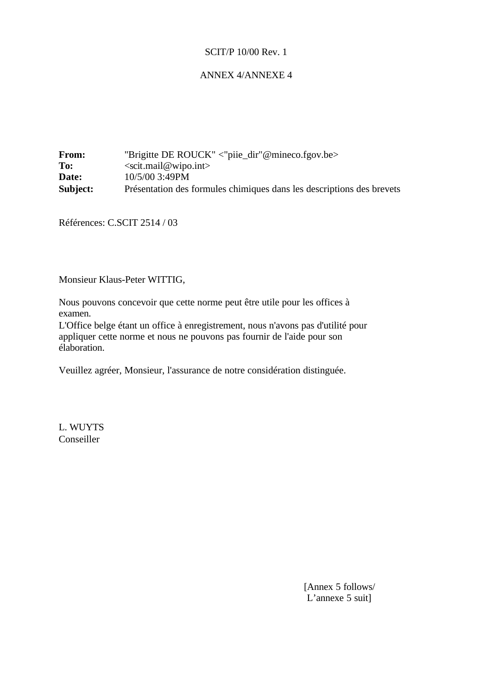## ANNEX 4/ANNEXE 4

From: "Brigitte DE ROUCK" <"piie\_dir"@mineco.fgov.be> **To:** <scit.mail@wipo.int> **Date:** 10/5/00 3:49PM **Subject:** Présentation des formules chimiques dans les descriptions des brevets

Références: C.SCIT 2514 / 03

Monsieur Klaus-Peter WITTIG,

Nous pouvons concevoir que cette norme peut être utile pour les offices à examen.

L'Office belge étant un office à enregistrement, nous n'avons pas d'utilité pour appliquer cette norme et nous ne pouvons pas fournir de l'aide pour son élaboration.

Veuillez agréer, Monsieur, l'assurance de notre considération distinguée.

L. WUYTS Conseiller

> [Annex 5 follows/ L'annexe 5 suit]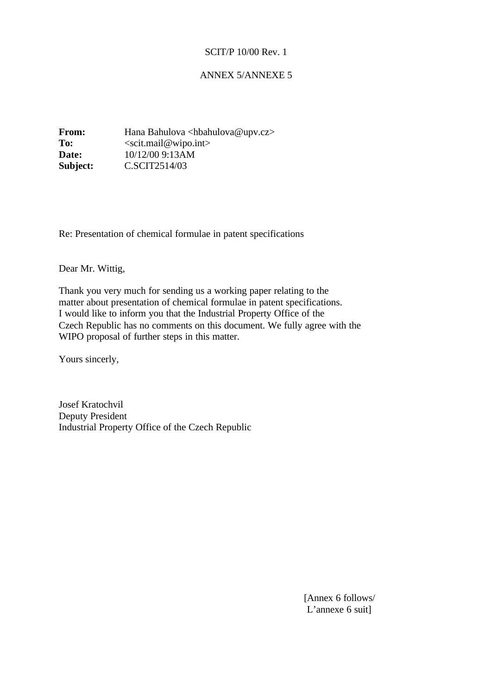## ANNEX 5/ANNEXE 5

**From:** Hana Bahulova <hbahulova@upv.cz> To: <scit.mail@wipo.int> **Date:** 10/12/00 9:13AM **Subject: C.SCIT2514/03** 

Re: Presentation of chemical formulae in patent specifications

Dear Mr. Wittig,

Thank you very much for sending us a working paper relating to the matter about presentation of chemical formulae in patent specifications. I would like to inform you that the Industrial Property Office of the Czech Republic has no comments on this document. We fully agree with the WIPO proposal of further steps in this matter.

Yours sincerly,

Josef Kratochvil Deputy President Industrial Property Office of the Czech Republic

> [Annex 6 follows/ L'annexe 6 suit]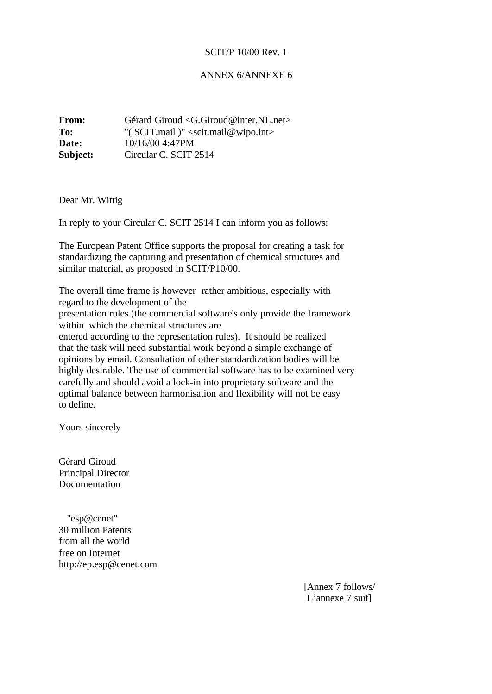## ANNEX 6/ANNEXE 6

| <b>From:</b> | Gérard Giroud <g.giroud@inter.nl.net></g.giroud@inter.nl.net> |
|--------------|---------------------------------------------------------------|
| To:          | "( $SCIT.mail$ )" <scit.mail@wipo.int></scit.mail@wipo.int>   |
| Date:        | 10/16/00 4:47PM                                               |
| Subject:     | Circular C. SCIT 2514                                         |

Dear Mr. Wittig

In reply to your Circular C. SCIT 2514 I can inform you as follows:

The European Patent Office supports the proposal for creating a task for standardizing the capturing and presentation of chemical structures and similar material, as proposed in SCIT/P10/00.

The overall time frame is however rather ambitious, especially with regard to the development of the

presentation rules (the commercial software's only provide the framework within which the chemical structures are

entered according to the representation rules). It should be realized that the task will need substantial work beyond a simple exchange of opinions by email. Consultation of other standardization bodies will be highly desirable. The use of commercial software has to be examined very carefully and should avoid a lock-in into proprietary software and the optimal balance between harmonisation and flexibility will not be easy to define.

Yours sincerely

Gérard Giroud Principal Director Documentation

 "esp@cenet" 30 million Patents from all the world free on Internet http://ep.esp@cenet.com

> [Annex 7 follows/ L'annexe 7 suit]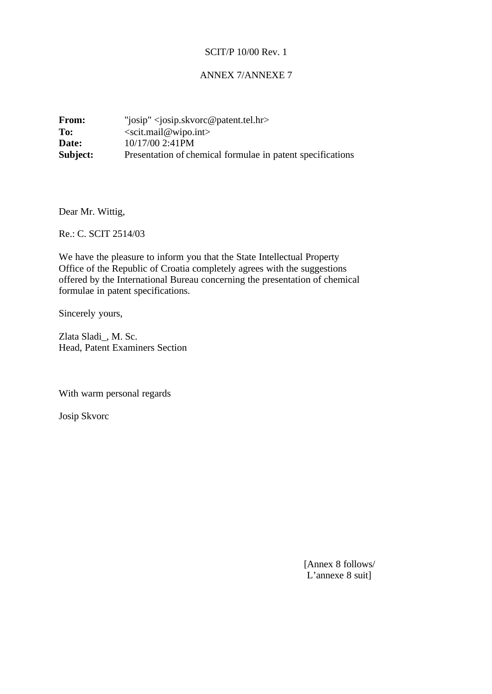## ANNEX 7/ANNEXE 7

| From:    | "josip" < josip.skvorc@patent.tel.hr>                      |
|----------|------------------------------------------------------------|
| To:      | $\le$ scit.mail@wipo.int>                                  |
| Date:    | 10/17/00 2:41PM                                            |
| Subject: | Presentation of chemical formulae in patent specifications |

Dear Mr. Wittig,

Re.: C. SCIT 2514/03

We have the pleasure to inform you that the State Intellectual Property Office of the Republic of Croatia completely agrees with the suggestions offered by the International Bureau concerning the presentation of chemical formulae in patent specifications.

Sincerely yours,

Zlata Sladi\_, M. Sc. Head, Patent Examiners Section

With warm personal regards

Josip Skvorc

[Annex 8 follows/ L'annexe 8 suit]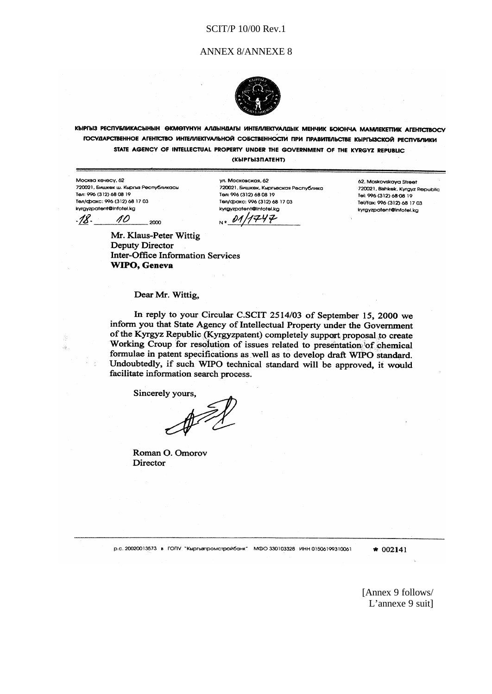#### ANNEX 8/ANNEXE 8



КЫРГЫЗ РЕСПУБЛИКАСЫНЫН ӨКМӨТҮНҮН АЛДЫНДАГЫ ИНТЕЛЛЕКТУАЛДЫК МЕНЧИК БОЮНЧА МАМЛЕКЕТТИК АГЕНТСТВОСУ ГОСУДАРСТВЕННОЕ АГЕНТСТВО ИНТЕЛЛЕКТУАЛЬНОЙ СОБСТВЕННОСТИ ПРИ ПРАВИТЕЛЬСТВЕ КЫРГЫЗСКОЙ РЕСПУБЛИКИ STATE AGENCY OF INTELLECTUAL PROPERTY UNDER THE GOVERNMENT OF THE KYRGYZ REPUBLIC

**(КЫРГЫЗПАТЕНТ)** 

Москва кечесу, 62 720021, Бишкек ш. Кыргыз Республикасы Ten: 996 (312) 68 08 19 Тел/факс: 996 (312) 68 17 03 kyrgyzpatent@infotel.kg

-18-10 2000

ул. Московская, 62 .<br>720021, Бишкек, Кыргызская Республика Ten: 996 (312) 68 08 19 Тел/факс: 996 (312) 68 17 03 kyrgyzpatent@infotel.kg 01, リマリエ

62. Moskovskova Street 720021, Bishkek, Kyrgyz Republic Tel: 996 (312) 68 08 19 Tel/fax: 996 (312) 68 17.03 kyrgyzpatent@infotel.kg

Mr. Klaus-Peter Wittig Deputy Director **Inter-Office Information Services** WIPO, Geneva

#### Dear Mr. Wittig,

In reply to your Circular C.SCIT 2514/03 of September 15, 2000 we inform you that State Agency of Intellectual Property under the Government of the Kyrgyz Republic (Kyrgyzpatent) completely support proposal to create Working Croup for resolution of issues related to presentation of chemical formulae in patent specifications as well as to develop draft WIPO standard. Undoubtedly, if such WIPO technical standard will be approved, it would facilitate information search process.

Sincerely vours.

Roman O. Omorov Director

р.с. 20020013573 в ГОПУ "Кыргызпромстройбанк" МФО 330103328 ИНН 01506199310061

 $* 002141$ 

[Annex 9 follows/ L'annexe 9 suit]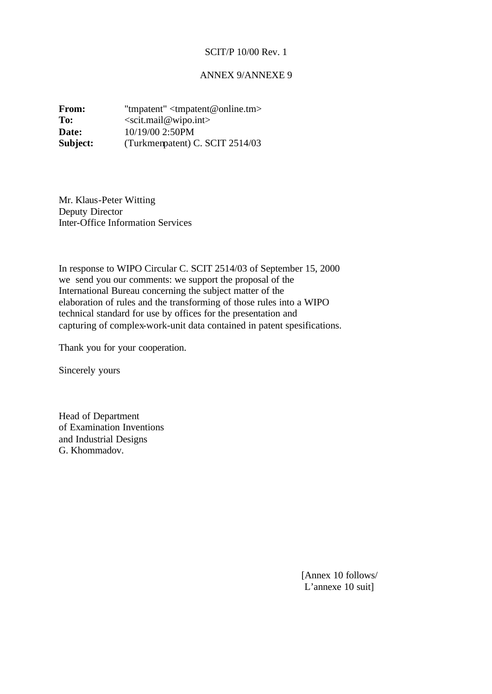## ANNEX 9/ANNEXE 9

**From:** "tmpatent" <tmpatent@online.tm> To: <scit.mail@wipo.int> **Date:** 10/19/00 2:50PM **Subject:** (Turkmenpatent) C. SCIT 2514/03

Mr. Klaus-Peter Witting Deputy Director Inter-Office Information Services

In response to WIPO Circular C. SCIT 2514/03 of September 15, 2000 we send you our comments: we support the proposal of the International Bureau concerning the subject matter of the elaboration of rules and the transforming of those rules into a WIPO technical standard for use by offices for the presentation and capturing of complex-work-unit data contained in patent spesifications.

Thank you for your cooperation.

Sincerely yours

Head of Department of Examination Inventions and Industrial Designs G. Khommadov.

> [Annex 10 follows/ L'annexe 10 suit]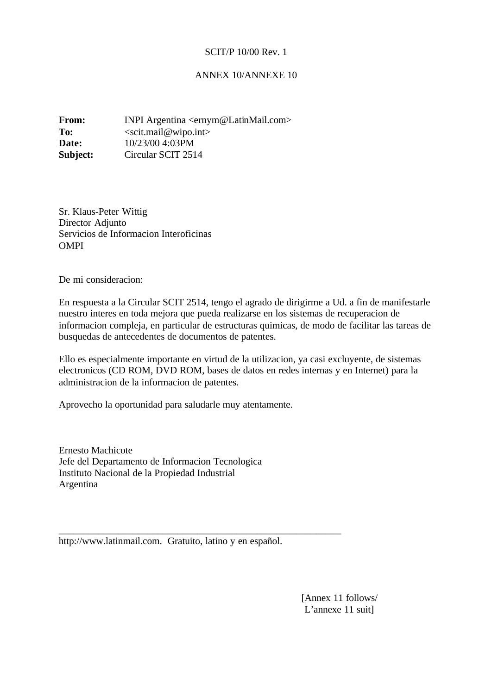## ANNEX 10/ANNEXE 10

**From: INPI Argentina <ernym@LatinMail.com>** To: <scit.mail@wipo.int> **Date:** 10/23/00 4:03PM **Subject:** Circular SCIT 2514

Sr. Klaus-Peter Wittig Director Adjunto Servicios de Informacion Interoficinas **OMPI** 

De mi consideracion:

En respuesta a la Circular SCIT 2514, tengo el agrado de dirigirme a Ud. a fin de manifestarle nuestro interes en toda mejora que pueda realizarse en los sistemas de recuperacion de informacion compleja, en particular de estructuras quimicas, de modo de facilitar las tareas de busquedas de antecedentes de documentos de patentes.

Ello es especialmente importante en virtud de la utilizacion, ya casi excluyente, de sistemas electronicos (CD ROM, DVD ROM, bases de datos en redes internas y en Internet) para la administracion de la informacion de patentes.

Aprovecho la oportunidad para saludarle muy atentamente.

Ernesto Machicote Jefe del Departamento de Informacion Tecnologica Instituto Nacional de la Propiedad Industrial Argentina

http://www.latinmail.com. Gratuito, latino y en español.

\_\_\_\_\_\_\_\_\_\_\_\_\_\_\_\_\_\_\_\_\_\_\_\_\_\_\_\_\_\_\_\_\_\_\_\_\_\_\_\_\_\_\_\_\_\_\_\_\_\_\_\_\_\_\_\_\_

[Annex 11 follows/ L'annexe 11 suit]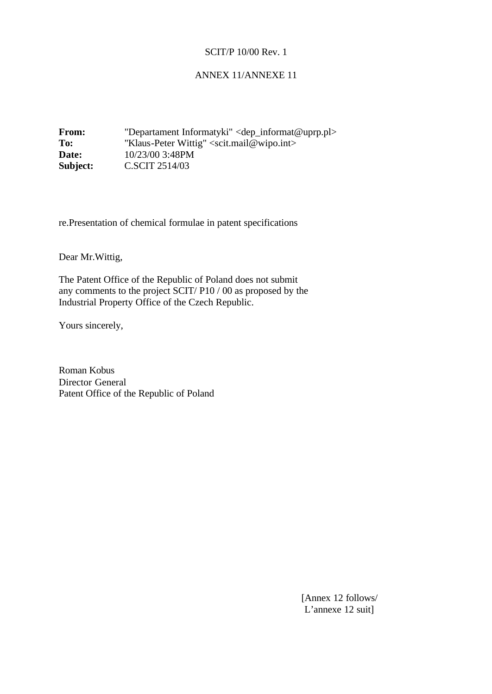## ANNEX 11/ANNEXE 11

**From:** "Departament Informatyki" <dep\_informat@uprp.pl> To: "Klaus-Peter Wittig" <scit.mail@wipo.int> **Date:** 10/23/00 3:48PM **Subject: C.SCIT 2514/03** 

re.Presentation of chemical formulae in patent specifications

Dear Mr.Wittig,

The Patent Office of the Republic of Poland does not submit any comments to the project SCIT/ P10 / 00 as proposed by the Industrial Property Office of the Czech Republic.

Yours sincerely,

Roman Kobus Director General Patent Office of the Republic of Poland

> [Annex 12 follows/ L'annexe 12 suit]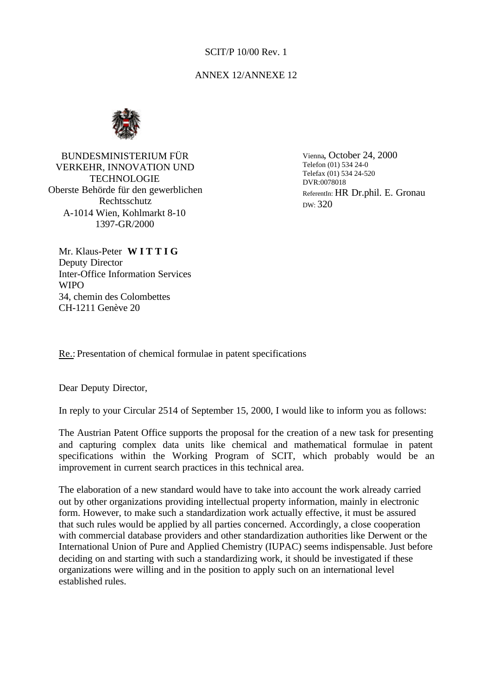## ANNEX 12/ANNEXE 12



BUNDESMINISTERIUM FÜR VERKEHR, INNOVATION UND **TECHNOLOGIE** Oberste Behörde für den gewerblichen Rechtsschutz A-1014 Wien, Kohlmarkt 8-10 1397-GR/2000

Vienna, October 24, 2000 Telefon (01) 534 24-0 Telefax (01) 534 24-520 DVR:0078018 ReferentIn: HR Dr.phil. E. Gronau DW: 320

Mr. Klaus-Peter **W I T T I G** Deputy Director Inter-Office Information Services **WIPO** 34, chemin des Colombettes CH-1211 Genève 20

Re.: Presentation of chemical formulae in patent specifications

Dear Deputy Director,

In reply to your Circular 2514 of September 15, 2000, I would like to inform you as follows:

The Austrian Patent Office supports the proposal for the creation of a new task for presenting and capturing complex data units like chemical and mathematical formulae in patent specifications within the Working Program of SCIT, which probably would be an improvement in current search practices in this technical area.

The elaboration of a new standard would have to take into account the work already carried out by other organizations providing intellectual property information, mainly in electronic form. However, to make such a standardization work actually effective, it must be assured that such rules would be applied by all parties concerned. Accordingly, a close cooperation with commercial database providers and other standardization authorities like Derwent or the International Union of Pure and Applied Chemistry (IUPAC) seems indispensable. Just before deciding on and starting with such a standardizing work, it should be investigated if these organizations were willing and in the position to apply such on an international level established rules.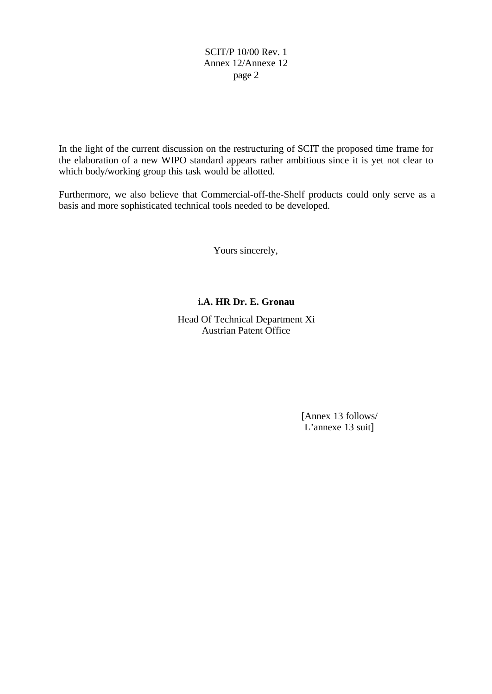# SCIT/P 10/00 Rev. 1 Annex 12/Annexe 12 page 2

In the light of the current discussion on the restructuring of SCIT the proposed time frame for the elaboration of a new WIPO standard appears rather ambitious since it is yet not clear to which body/working group this task would be allotted.

Furthermore, we also believe that Commercial-off-the-Shelf products could only serve as a basis and more sophisticated technical tools needed to be developed.

Yours sincerely,

# **i.A. HR Dr. E. Gronau**

Head Of Technical Department Xi Austrian Patent Office

> [Annex 13 follows/ L'annexe 13 suit]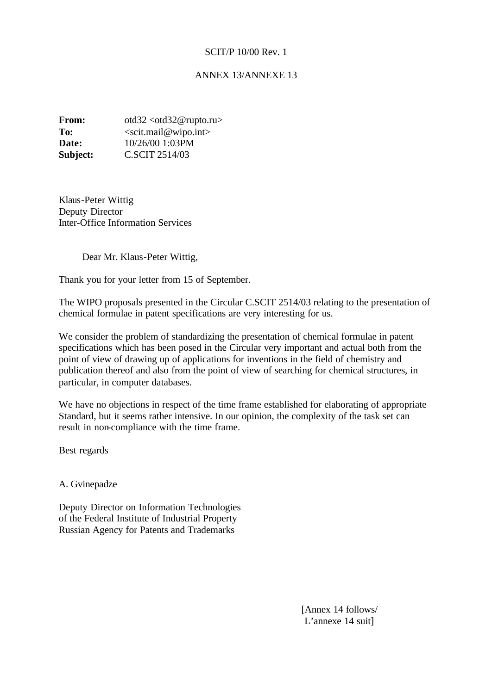## ANNEX 13/ANNEXE 13

**From:** otd32 <otd32@rupto.ru> To: <scit.mail@wipo.int> **Date:** 10/26/00 1:03PM **Subject:** C.SCIT 2514/03

Klaus-Peter Wittig Deputy Director Inter-Office Information Services

Dear Mr. Klaus-Peter Wittig,

Thank you for your letter from 15 of September.

The WIPO proposals presented in the Circular C.SCIT 2514/03 relating to the presentation of chemical formulae in patent specifications are very interesting for us.

We consider the problem of standardizing the presentation of chemical formulae in patent specifications which has been posed in the Circular very important and actual both from the point of view of drawing up of applications for inventions in the field of chemistry and publication thereof and also from the point of view of searching for chemical structures, in particular, in computer databases.

We have no objections in respect of the time frame established for elaborating of appropriate Standard, but it seems rather intensive. In our opinion, the complexity of the task set can result in non-compliance with the time frame.

Best regards

A. Gvinepadze

Deputy Director on Information Technologies of the Federal Institute of Industrial Property Russian Agency for Patents and Trademarks

> [Annex 14 follows/ L'annexe 14 suit]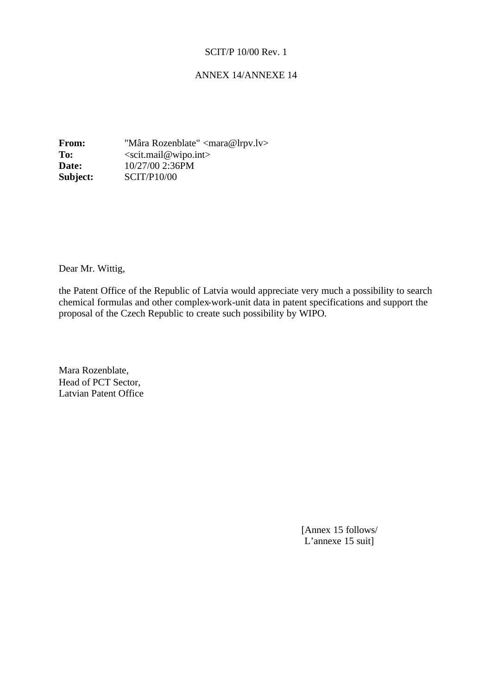## ANNEX 14/ANNEXE 14

**From:** "Mâra Rozenblate" <mara@lrpv.lv> To: <scit.mail@wipo.int> **Date:** 10/27/00 2:36PM **Subject:** SCIT/P10/00

Dear Mr. Wittig,

the Patent Office of the Republic of Latvia would appreciate very much a possibility to search chemical formulas and other complex-work-unit data in patent specifications and support the proposal of the Czech Republic to create such possibility by WIPO.

Mara Rozenblate, Head of PCT Sector, Latvian Patent Office

> [Annex 15 follows/ L'annexe 15 suit]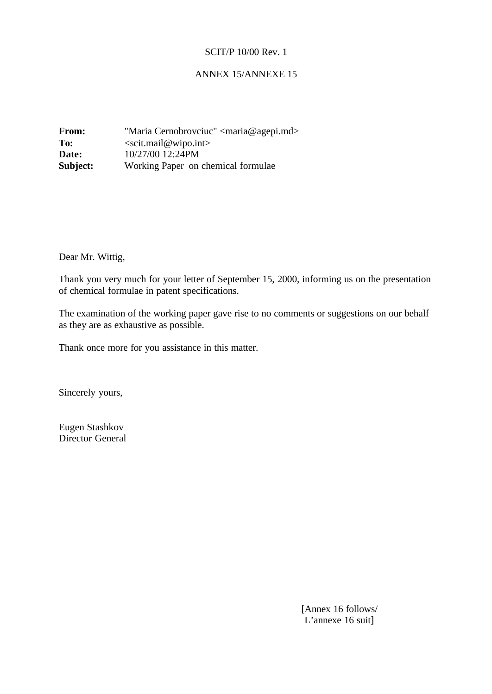## ANNEX 15/ANNEXE 15

**From:** "Maria Cernobrovciuc" <maria@agepi.md> **To:** <scit.mail@wipo.int> **Date:** 10/27/00 12:24PM **Subject:** Working Paper on chemical formulae

Dear Mr. Wittig,

Thank you very much for your letter of September 15, 2000, informing us on the presentation of chemical formulae in patent specifications.

The examination of the working paper gave rise to no comments or suggestions on our behalf as they are as exhaustive as possible.

Thank once more for you assistance in this matter.

Sincerely yours,

Eugen Stashkov Director General

> [Annex 16 follows/ L'annexe 16 suit]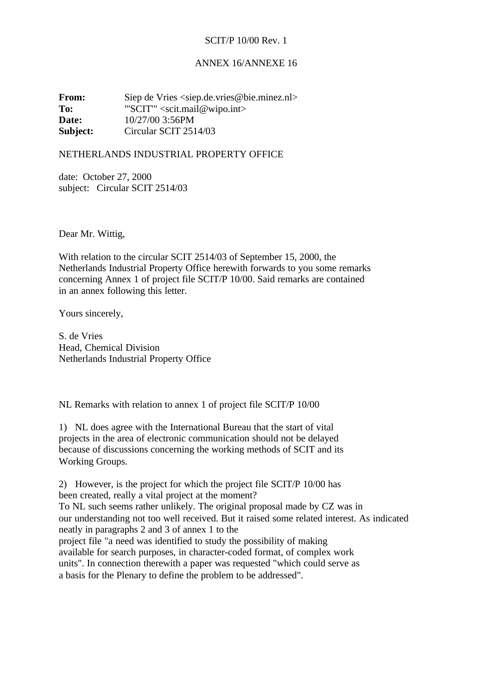#### ANNEX 16/ANNEXE 16

**From:** Siep de Vries <siep.de.vries@bie.minez.nl> **To:** "'SCIT'" <scit.mail@wipo.int> **Date:** 10/27/00 3:56PM **Subject:** Circular SCIT 2514/03

## NETHERLANDS INDUSTRIAL PROPERTY OFFICE

date: October 27, 2000 subject: Circular SCIT 2514/03

Dear Mr. Wittig,

With relation to the circular SCIT 2514/03 of September 15, 2000, the Netherlands Industrial Property Office herewith forwards to you some remarks concerning Annex 1 of project file SCIT/P 10/00. Said remarks are contained in an annex following this letter.

Yours sincerely,

S. de Vries Head, Chemical Division Netherlands Industrial Property Office

NL Remarks with relation to annex 1 of project file SCIT/P 10/00

1) NL does agree with the International Bureau that the start of vital projects in the area of electronic communication should not be delayed because of discussions concerning the working methods of SCIT and its Working Groups.

2) However, is the project for which the project file SCIT/P 10/00 has been created, really a vital project at the moment? To NL such seems rather unlikely. The original proposal made by CZ was in our understanding not too well received. But it raised some related interest. As indicated neatly in paragraphs 2 and 3 of annex 1 to the project file "a need was identified to study the possibility of making available for search purposes, in character-coded format, of complex work units". In connection therewith a paper was requested "which could serve as a basis for the Plenary to define the problem to be addressed".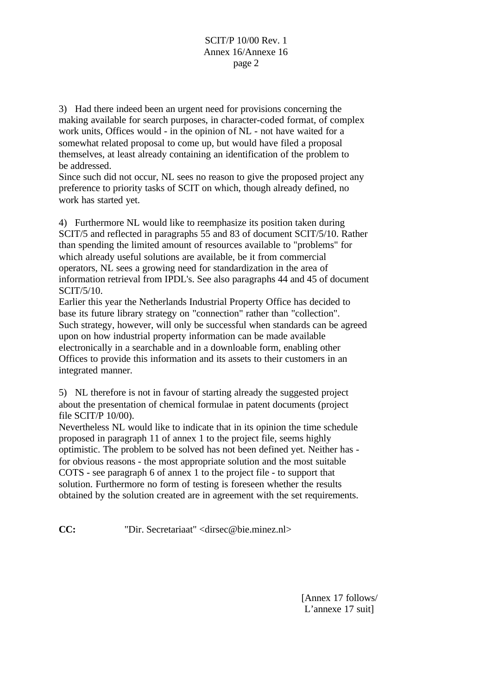3) Had there indeed been an urgent need for provisions concerning the making available for search purposes, in character-coded format, of complex work units, Offices would - in the opinion of NL - not have waited for a somewhat related proposal to come up, but would have filed a proposal themselves, at least already containing an identification of the problem to be addressed.

Since such did not occur, NL sees no reason to give the proposed project any preference to priority tasks of SCIT on which, though already defined, no work has started yet.

4) Furthermore NL would like to reemphasize its position taken during SCIT/5 and reflected in paragraphs 55 and 83 of document SCIT/5/10. Rather than spending the limited amount of resources available to "problems" for which already useful solutions are available, be it from commercial operators, NL sees a growing need for standardization in the area of information retrieval from IPDL's. See also paragraphs 44 and 45 of document SCIT/5/10.

Earlier this year the Netherlands Industrial Property Office has decided to base its future library strategy on "connection" rather than "collection". Such strategy, however, will only be successful when standards can be agreed upon on how industrial property information can be made available electronically in a searchable and in a downloable form, enabling other Offices to provide this information and its assets to their customers in an integrated manner.

5) NL therefore is not in favour of starting already the suggested project about the presentation of chemical formulae in patent documents (project file SCIT/P 10/00).

Nevertheless NL would like to indicate that in its opinion the time schedule proposed in paragraph 11 of annex 1 to the project file, seems highly optimistic. The problem to be solved has not been defined yet. Neither has for obvious reasons - the most appropriate solution and the most suitable COTS - see paragraph 6 of annex 1 to the project file - to support that solution. Furthermore no form of testing is foreseen whether the results obtained by the solution created are in agreement with the set requirements.

**CC:** "Dir. Secretariaat" <dirsec@bie.minez.nl>

[Annex 17 follows/ L'annexe 17 suit]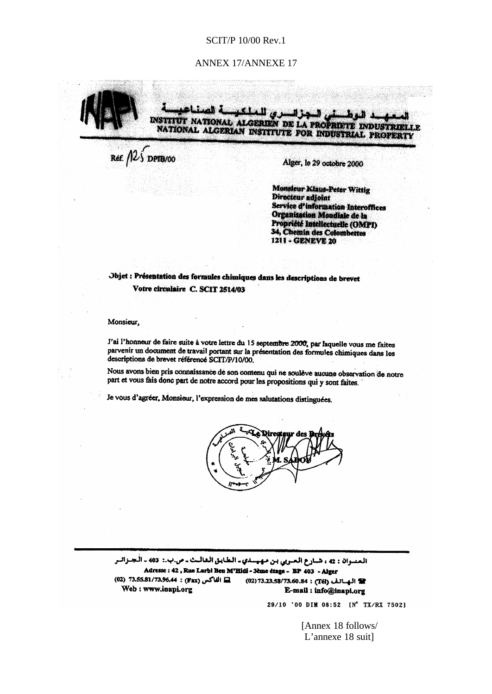#### ANNEX 17/ANNEXE 17



Ref.  $125$  DPTB/00

Alger, le 29 octobre 2000

**Monsieur Klaus-Peter Wittig Directeur** adioint **Service d'information Interoffices** Organisation Mondiale de la Propriété Intellectuelle (OMPI) 34, Chemin des Colombettes 1211 - GENEVE 20

Objet : Présentation des formules chimiques dans les descriptions de brevet Votre circulaire C. SCIT 2514/03

Monsieur.

J'ai l'honneur de faire suite à votre lettre du 15 septembre 2000, par laquelle vous me faites parvenir un document de travail portant sur la présentation des formules chimiques dans les descriptions de brevet référencé SCIT/P/10/00.

Nous avons bien pris connaissance de son comenu qui ne soulève aucune observation de notre part et vous fais donc part de notre accord pour les propositions qui y sont faites.

Je vous d'agréer, Monsieur, l'expression de mes salutations distinguées.



المسوان : 42 ، شبارع العبريي بن مهيستي ـ الطايق الغالبت ـ ص.ب.: 403 ـ الجنزالبر Adresse : 42, Rue Larbi Ben M'Hidi - 3ème étage - BP 403 - Alger Q2) 73.55.81/73.96.44 : (Fax) مس (02) 73.55.81/73.96.44 (02) 73.23.58/73.60.84 : (Tél) (02) 73.23.58/73.60.84 Web: www.inapi.org E-mail: info@inapi.org

29/10 '00 DIM 08:52 [N° TX/RX 7502]

[Annex 18 follows/ L'annexe 18 suit]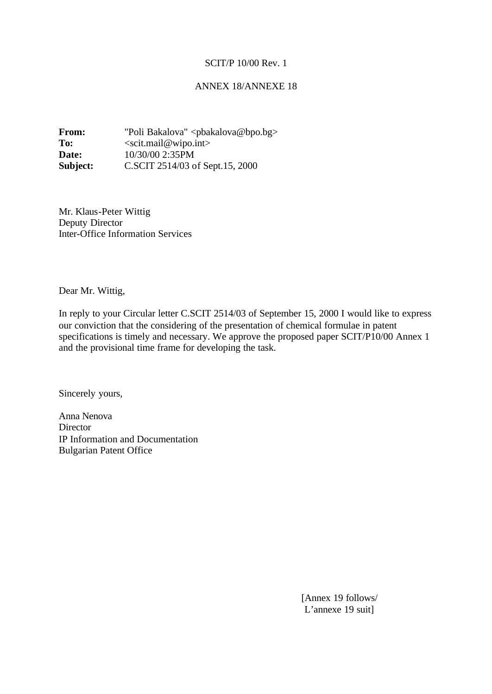### ANNEX 18/ANNEXE 18

**From:** "Poli Bakalova" <pbakalova@bpo.bg> To: <scit.mail@wipo.int> **Date:** 10/30/00 2:35PM **Subject:** C.SCIT 2514/03 of Sept.15, 2000

Mr. Klaus-Peter Wittig Deputy Director Inter-Office Information Services

Dear Mr. Wittig,

In reply to your Circular letter C.SCIT 2514/03 of September 15, 2000 I would like to express our conviction that the considering of the presentation of chemical formulae in patent specifications is timely and necessary. We approve the proposed paper SCIT/P10/00 Annex 1 and the provisional time frame for developing the task.

Sincerely yours,

Anna Nenova **Director** IP Information and Documentation Bulgarian Patent Office

> [Annex 19 follows/ L'annexe 19 suit]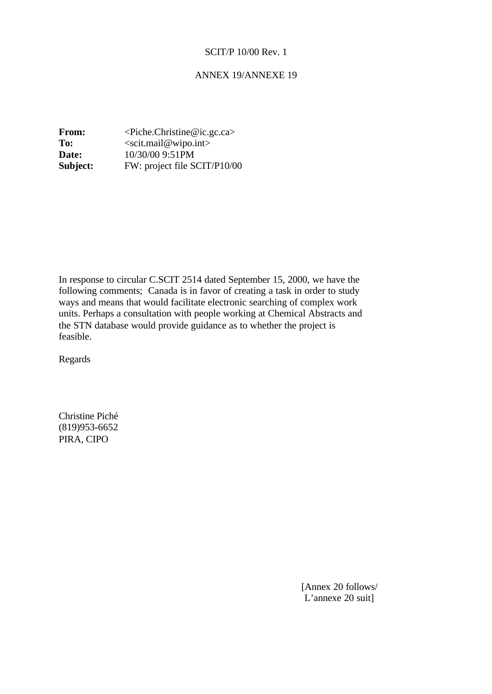## ANNEX 19/ANNEXE 19

**From:** <Piche.Christine@ic.gc.ca> To: <scit.mail@wipo.int> **Date:** 10/30/00 9:51PM **Subject:** FW: project file SCIT/P10/00

In response to circular C.SCIT 2514 dated September 15, 2000, we have the following comments; Canada is in favor of creating a task in order to study ways and means that would facilitate electronic searching of complex work units. Perhaps a consultation with people working at Chemical Abstracts and the STN database would provide guidance as to whether the project is feasible.

Regards

Christine Piché (819)953-6652 PIRA, CIPO

> [Annex 20 follows/ L'annexe 20 suit]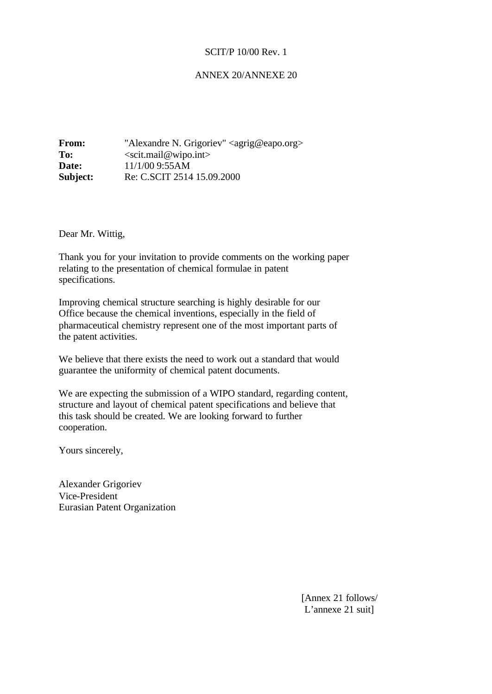## ANNEX 20/ANNEXE 20

| From:    | "Alexandre N. Grigoriev" <agrig@eapo.org></agrig@eapo.org> |
|----------|------------------------------------------------------------|
| To:      | $\le$ scit.mail@wipo.int>                                  |
| Date:    | 11/1/00 9:55AM                                             |
| Subject: | Re: C.SCIT 2514 15.09.2000                                 |

Dear Mr. Wittig,

Thank you for your invitation to provide comments on the working paper relating to the presentation of chemical formulae in patent specifications.

Improving chemical structure searching is highly desirable for our Office because the chemical inventions, especially in the field of pharmaceutical chemistry represent one of the most important parts of the patent activities.

We believe that there exists the need to work out a standard that would guarantee the uniformity of chemical patent documents.

We are expecting the submission of a WIPO standard, regarding content, structure and layout of chemical patent specifications and believe that this task should be created. We are looking forward to further cooperation.

Yours sincerely,

Alexander Grigoriev Vice-President Eurasian Patent Organization

> [Annex 21 follows/ L'annexe 21 suit]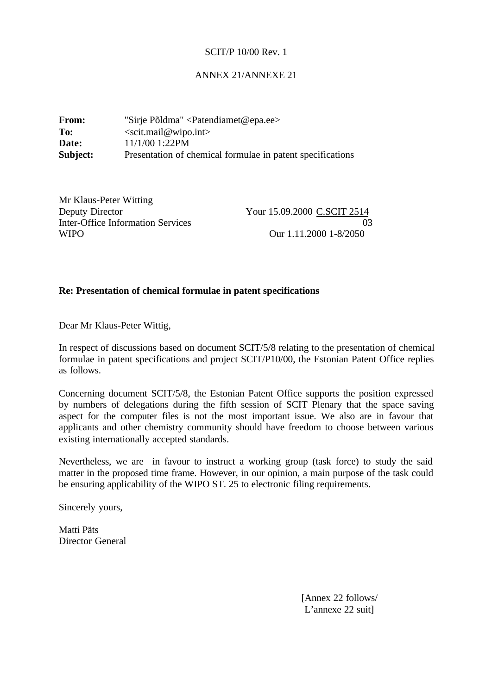## ANNEX 21/ANNEXE 21

| From:    | "Sirje Põldma" < Patendiamet@epa.ee>                       |  |
|----------|------------------------------------------------------------|--|
| To:      | $\le$ scit.mail@wipo.int>                                  |  |
| Date:    | $11/1/00$ 1:22PM                                           |  |
| Subject: | Presentation of chemical formulae in patent specifications |  |

| Mr Klaus-Peter Witting            |                             |
|-----------------------------------|-----------------------------|
| Deputy Director                   | Your 15.09.2000 C.SCIT 2514 |
| Inter-Office Information Services | 03                          |
| <b>WIPO</b>                       | Our 1.11.2000 1-8/2050      |

## **Re: Presentation of chemical formulae in patent specifications**

Dear Mr Klaus-Peter Wittig,

In respect of discussions based on document SCIT/5/8 relating to the presentation of chemical formulae in patent specifications and project SCIT/P10/00, the Estonian Patent Office replies as follows.

Concerning document SCIT/5/8, the Estonian Patent Office supports the position expressed by numbers of delegations during the fifth session of SCIT Plenary that the space saving aspect for the computer files is not the most important issue. We also are in favour that applicants and other chemistry community should have freedom to choose between various existing internationally accepted standards.

Nevertheless, we are in favour to instruct a working group (task force) to study the said matter in the proposed time frame. However, in our opinion, a main purpose of the task could be ensuring applicability of the WIPO ST. 25 to electronic filing requirements.

Sincerely yours,

Matti Päts Director General

> [Annex 22 follows/ L'annexe 22 suit]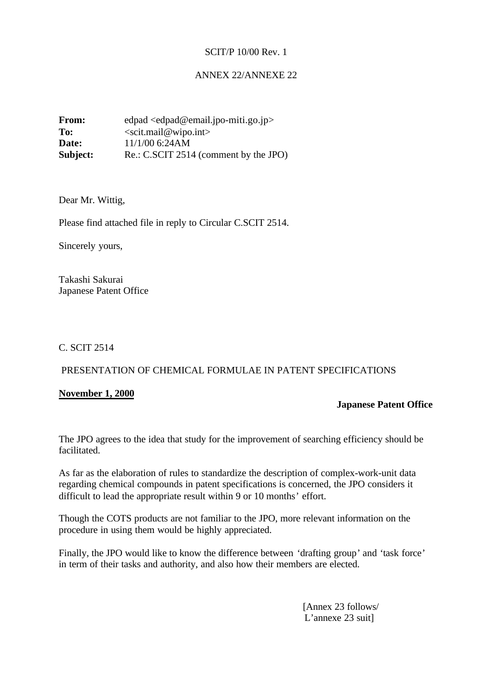## ANNEX 22/ANNEXE 22

**From:** edpad <edpad@email.jpo-miti.go.jp> To: <scit.mail@wipo.int> **Date:**  $11/1/00$  6:24AM **Subject:** Re.: C.SCIT 2514 (comment by the JPO)

Dear Mr. Wittig,

Please find attached file in reply to Circular C.SCIT 2514.

Sincerely yours,

Takashi Sakurai Japanese Patent Office

C. SCIT 2514

## PRESENTATION OF CHEMICAL FORMULAE IN PATENT SPECIFICATIONS

## **November 1, 2000**

#### **Japanese Patent Office**

The JPO agrees to the idea that study for the improvement of searching efficiency should be facilitated.

As far as the elaboration of rules to standardize the description of complex-work-unit data regarding chemical compounds in patent specifications is concerned, the JPO considers it difficult to lead the appropriate result within 9 or 10 months' effort.

Though the COTS products are not familiar to the JPO, more relevant information on the procedure in using them would be highly appreciated.

Finally, the JPO would like to know the difference between 'drafting group' and 'task force' in term of their tasks and authority, and also how their members are elected.

> [Annex 23 follows/ L'annexe 23 suit]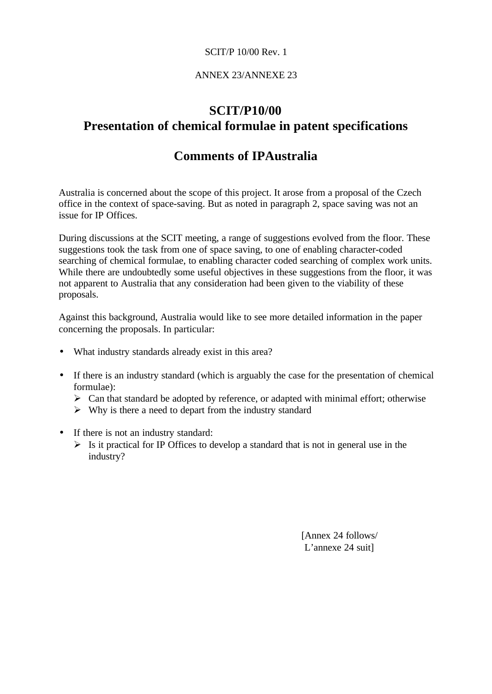## ANNEX 23/ANNEXE 23

# **SCIT/P10/00 Presentation of chemical formulae in patent specifications**

# **Comments of IPAustralia**

Australia is concerned about the scope of this project. It arose from a proposal of the Czech office in the context of space-saving. But as noted in paragraph 2, space saving was not an issue for IP Offices.

During discussions at the SCIT meeting, a range of suggestions evolved from the floor. These suggestions took the task from one of space saving, to one of enabling character-coded searching of chemical formulae, to enabling character coded searching of complex work units. While there are undoubtedly some useful objectives in these suggestions from the floor, it was not apparent to Australia that any consideration had been given to the viability of these proposals.

Against this background, Australia would like to see more detailed information in the paper concerning the proposals. In particular:

- What industry standards already exist in this area?
- If there is an industry standard (which is arguably the case for the presentation of chemical formulae):
	- $\triangleright$  Can that standard be adopted by reference, or adapted with minimal effort; otherwise
	- $\triangleright$  Why is there a need to depart from the industry standard
- If there is not an industry standard:
	- $\triangleright$  Is it practical for IP Offices to develop a standard that is not in general use in the industry?

[Annex 24 follows/ L'annexe 24 suit]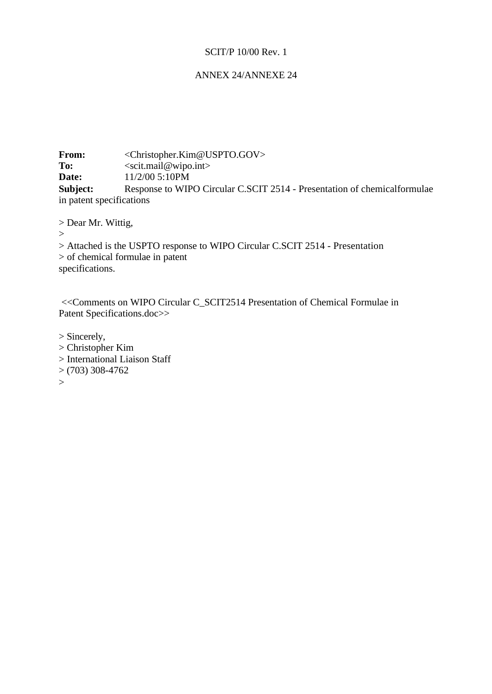# ANNEX 24/ANNEXE 24

**From:** <Christopher.Kim@USPTO.GOV> To: <scit.mail@wipo.int> **Date:** 11/2/00 5:10PM **Subject:** Response to WIPO Circular C.SCIT 2514 - Presentation of chemicalformulae in patent specifications

> Dear Mr. Wittig,

 $\geq$ 

> Attached is the USPTO response to WIPO Circular C.SCIT 2514 - Presentation > of chemical formulae in patent specifications.

 <<Comments on WIPO Circular C\_SCIT2514 Presentation of Chemical Formulae in Patent Specifications.doc>>

> Sincerely, > Christopher Kim > International Liaison Staff  $>(703)$  308-4762  $>$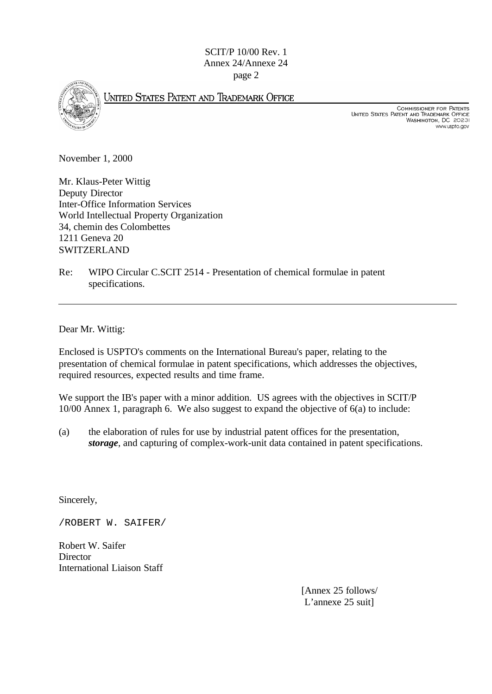SCIT/P 10/00 Rev. 1 Annex 24/Annexe 24 page 2



UNITED STATES PATENT AND TRADEMARK OFFICE

COMMISSIONER FOR PATENTS<br>United States Patent and Trademark Office<br>Washington, DC 20231 www.uspto.gov

November 1, 2000

Mr. Klaus-Peter Wittig Deputy Director Inter-Office Information Services World Intellectual Property Organization 34, chemin des Colombettes 1211 Geneva 20 SWITZERLAND

Re: WIPO Circular C.SCIT 2514 - Presentation of chemical formulae in patent specifications.

Dear Mr. Wittig:

Enclosed is USPTO's comments on the International Bureau's paper, relating to the presentation of chemical formulae in patent specifications, which addresses the objectives, required resources, expected results and time frame.

We support the IB's paper with a minor addition. US agrees with the objectives in SCIT/P 10/00 Annex 1, paragraph 6. We also suggest to expand the objective of 6(a) to include:

(a) the elaboration of rules for use by industrial patent offices for the presentation, *storage*, and capturing of complex-work-unit data contained in patent specifications.

Sincerely,

/ROBERT W. SAIFER/

Robert W. Saifer **Director** International Liaison Staff

> [Annex 25 follows/ L'annexe 25 suit]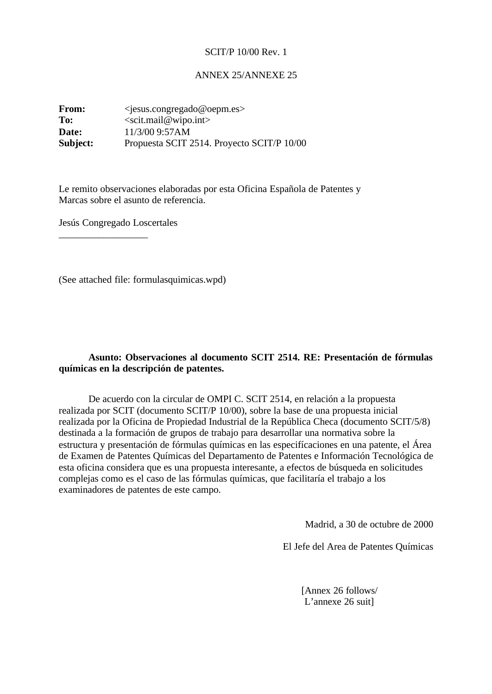#### ANNEX 25/ANNEXE 25

**From:** <*jesus.congregado@oepm.es*> To: <scit.mail@wipo.int> **Date:** 11/3/00 9:57AM **Subject:** Propuesta SCIT 2514. Proyecto SCIT/P 10/00

Le remito observaciones elaboradas por esta Oficina Española de Patentes y Marcas sobre el asunto de referencia.

Jesús Congregado Loscertales

\_\_\_\_\_\_\_\_\_\_\_\_\_\_\_\_\_\_

(See attached file: formulasquimicas.wpd)

## **Asunto: Observaciones al documento SCIT 2514. RE: Presentación de fórmulas químicas en la descripción de patentes.**

De acuerdo con la circular de OMPI C. SCIT 2514, en relación a la propuesta realizada por SCIT (documento SCIT/P 10/00), sobre la base de una propuesta inicial realizada por la Oficina de Propiedad Industrial de la República Checa (documento SCIT/5/8) destinada a la formación de grupos de trabajo para desarrollar una normativa sobre la estructura y presentación de fórmulas químicas en las especifícaciones en una patente, el Área de Examen de Patentes Químicas del Departamento de Patentes e Información Tecnológica de esta oficina considera que es una propuesta interesante, a efectos de búsqueda en solicitudes complejas como es el caso de las fórmulas químicas, que facilitaría el trabajo a los examinadores de patentes de este campo.

Madrid, a 30 de octubre de 2000

El Jefe del Area de Patentes Químicas

[Annex 26 follows/ L'annexe 26 suit]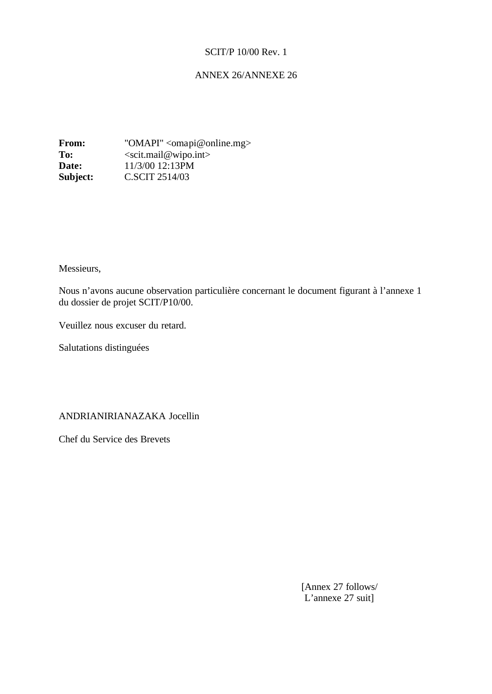## ANNEX 26/ANNEXE 26

**From:** "OMAPI" <omapi@online.mg> To: <scit.mail@wipo.int> **Date:** 11/3/00 12:13PM **Subject: C.SCIT 2514/03** 

Messieurs,

Nous n'avons aucune observation particulière concernant le document figurant à l'annexe 1 du dossier de projet SCIT/P10/00.

Veuillez nous excuser du retard.

Salutations distinguées

ANDRIANIRIANAZAKA Jocellin

Chef du Service des Brevets

[Annex 27 follows/ L'annexe 27 suit]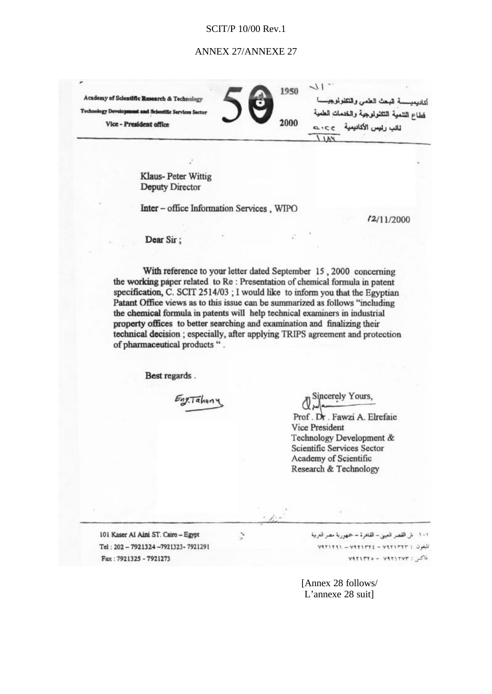#### ANNEX 27/ANNEXE 27

**Academy of Scientific Re Technology Dev** Vice - President office

 $\sqrt{1}$ 1950 أتباديعده السبعث العلمى والتكفولموج فطاع التنمية التثنولوجية والخدمات الع 2000 ثائب رئيس الأكانيمية  $9.212$ 

Klaus-Peter Wittig **Deputy Director** 

Inter - office Information Services, WIPO

 $f2/11/2000$ 

Dear Sir:

With reference to your letter dated September 15, 2000 concerning the working paper related to Re: Presentation of chemical formula in patent specification, C. SCIT 2514/03; I would like to inform you that the Egyptian Patant Office views as to this issue can be summarized as follows "including the chemical formula in patents will help technical examiners in industrial property offices to better searching and examination and finalizing their technical decision ; especially, after applying TRIPS agreement and protection of pharmaceutical products ".

Best regards.

Eng.Tahuny

Sincerely Yours. Prof. Dr. Fawzi A. Elrefaie **Vice President** Technology Development & Scientific Services Sector Academy of Scientific Research & Technology

101 Kaser Al Aini ST. Cairo - Egypt Tel: 202-7921324-7921323-7921291 Fax: 7921325 - 7921273

Ž,

١٠١ - ش القصر العيني - القاهرة - جمهورية مصر العربية .<br>تلفون : ۷۹۲۱۳۲۲ – ۷۹۲۱۳۲۱ – ۷۹۲۱۳۹۱ فاكس: ٧٩٢١٢٧٣ - ٧٩٢١٣٢٥

[Annex 28 follows/ L'annexe 28 suit]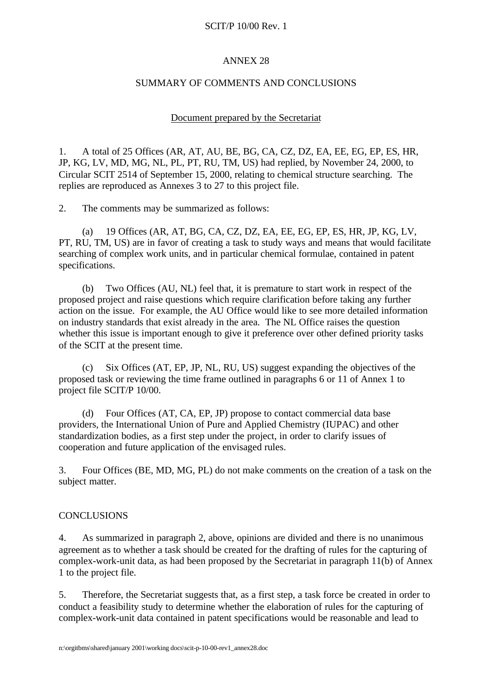# ANNEX 28

## SUMMARY OF COMMENTS AND CONCLUSIONS

## Document prepared by the Secretariat

1. A total of 25 Offices (AR, AT, AU, BE, BG, CA, CZ, DZ, EA, EE, EG, EP, ES, HR, JP, KG, LV, MD, MG, NL, PL, PT, RU, TM, US) had replied, by November 24, 2000, to Circular SCIT 2514 of September 15, 2000, relating to chemical structure searching. The replies are reproduced as Annexes 3 to 27 to this project file.

2. The comments may be summarized as follows:

(a) 19 Offices (AR, AT, BG, CA, CZ, DZ, EA, EE, EG, EP, ES, HR, JP, KG, LV, PT, RU, TM, US) are in favor of creating a task to study ways and means that would facilitate searching of complex work units, and in particular chemical formulae, contained in patent specifications.

(b) Two Offices (AU, NL) feel that, it is premature to start work in respect of the proposed project and raise questions which require clarification before taking any further action on the issue. For example, the AU Office would like to see more detailed information on industry standards that exist already in the area. The NL Office raises the question whether this issue is important enough to give it preference over other defined priority tasks of the SCIT at the present time.

(c) Six Offices (AT, EP, JP, NL, RU, US) suggest expanding the objectives of the proposed task or reviewing the time frame outlined in paragraphs 6 or 11 of Annex 1 to project file SCIT/P 10/00.

(d) Four Offices (AT, CA, EP, JP) propose to contact commercial data base providers, the International Union of Pure and Applied Chemistry (IUPAC) and other standardization bodies, as a first step under the project, in order to clarify issues of cooperation and future application of the envisaged rules.

3. Four Offices (BE, MD, MG, PL) do not make comments on the creation of a task on the subject matter.

## **CONCLUSIONS**

4. As summarized in paragraph 2, above, opinions are divided and there is no unanimous agreement as to whether a task should be created for the drafting of rules for the capturing of complex-work-unit data, as had been proposed by the Secretariat in paragraph 11(b) of Annex 1 to the project file.

5. Therefore, the Secretariat suggests that, as a first step, a task force be created in order to conduct a feasibility study to determine whether the elaboration of rules for the capturing of complex-work-unit data contained in patent specifications would be reasonable and lead to